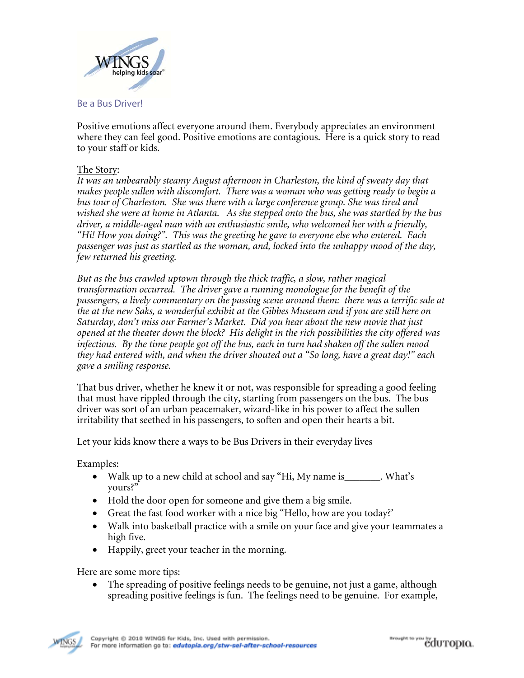

Be a Bus Driver!

Positive emotions affect everyone around them. Everybody appreciates an environment where they can feel good. Positive emotions are contagious. Here is a quick story to read to your staff or kids.

## The Story:

*It was an unbearably steamy August afternoon in Charleston, the kind of sweaty day that makes people sullen with discomfort. There was a woman who was getting ready to begin a bus tour of Charleston. She was there with a large conference group. She was tired and wished she were at home in Atlanta. As she stepped onto the bus, she was startled by the bus driver, a middle-aged man with an enthusiastic smile, who welcomed her with a friendly, "Hi! How you doing?". This was the greeting he gave to everyone else who entered. Each passenger was just as startled as the woman, and, locked into the unhappy mood of the day, few returned his greeting.* 

*But as the bus crawled uptown through the thick traffic, a slow, rather magical transformation occurred. The driver gave a running monologue for the benefit of the passengers, a lively commentary on the passing scene around them: there was a terrific sale at the at the new Saks, a wonderful exhibit at the Gibbes Museum and if you are still here on Saturday, don't miss our Farmer's Market. Did you hear about the new movie that just opened at the theater down the block? His delight in the rich possibilities the city offered was infectious. By the time people got off the bus, each in turn had shaken off the sullen mood they had entered with, and when the driver shouted out a "So long, have a great day!" each gave a smiling response.* 

That bus driver, whether he knew it or not, was responsible for spreading a good feeling that must have rippled through the city, starting from passengers on the bus. The bus driver was sort of an urban peacemaker, wizard-like in his power to affect the sullen irritability that seethed in his passengers, to soften and open their hearts a bit.

Let your kids know there a ways to be Bus Drivers in their everyday lives

Examples:

- Walk up to a new child at school and say "Hi, My name is\_\_\_\_\_\_\_. What's yours?"
- Hold the door open for someone and give them a big smile.
- Great the fast food worker with a nice big "Hello, how are you today?'
- Walk into basketball practice with a smile on your face and give your teammates a high five.
- Happily, greet your teacher in the morning.

Here are some more tips:

 The spreading of positive feelings needs to be genuine, not just a game, although spreading positive feelings is fun. The feelings need to be genuine. For example,